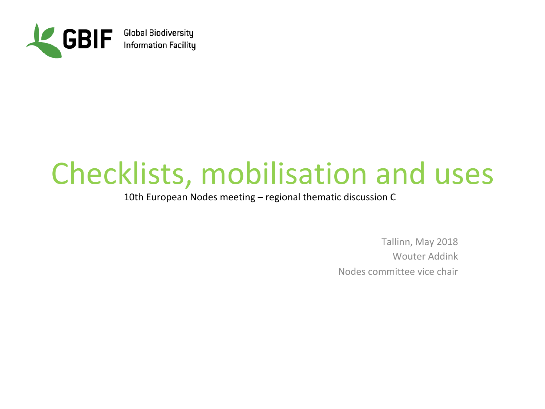

## Checklists, mobilisation and uses

10th European Nodes meeting – regional thematic discussion C

Tallinn, May 2018 Wouter Addink Nodes committee vice chair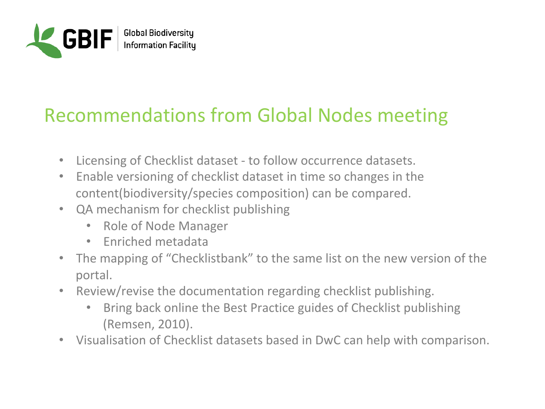

## **Recommendations from Global Nodes meeting**

- Licensing of Checklist dataset to follow occurrence datasets.
- Enable versioning of checklist dataset in time so changes in the content(biodiversity/species composition) can be compared.
- QA mechanism for checklist publishing
	- Role of Node Manager
	- Fnriched metadata
- The mapping of "Checklistbank" to the same list on the new version of the portal.
- Review/revise the documentation regarding checklist publishing.
	- Bring back online the Best Practice guides of Checklist publishing (Remsen, 2010).
- Visualisation of Checklist datasets based in DwC can help with comparison.